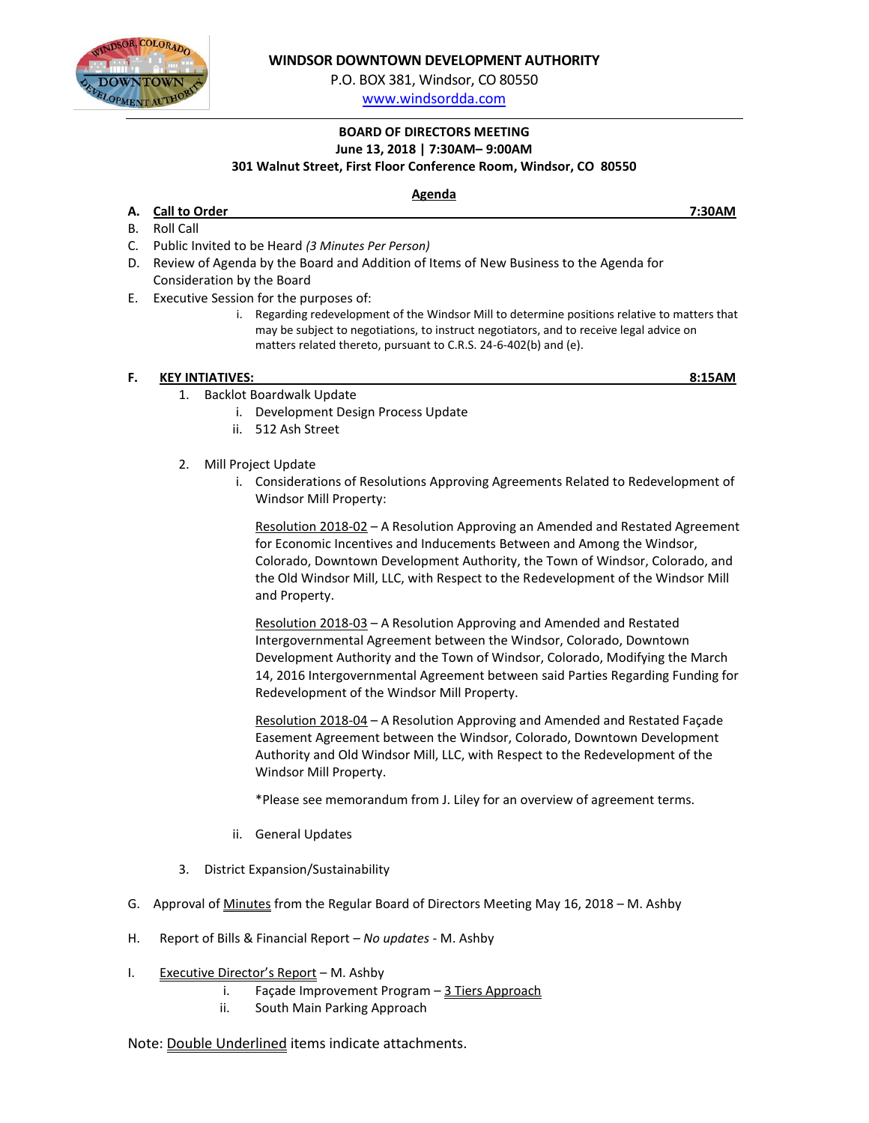### **WINDSOR DOWNTOWN DEVELOPMENT AUTHORITY**

P.O. BOX 381, Windsor, CO 80550

[www.windsordda.com](http://www.windsordda.com/)

## **BOARD OF DIRECTORS MEETING June 13, 2018 | 7:30AM– 9:00AM 301 Walnut Street, First Floor Conference Room, Windsor, CO 80550**

## **Agenda**

**A. Call to Order 7:30AM**

- B. Roll Call
- C. Public Invited to be Heard *(3 Minutes Per Person)*
- D. Review of Agenda by the Board and Addition of Items of New Business to the Agenda for Consideration by the Board
- E. Executive Session for the purposes of:
	- i. Regarding redevelopment of the Windsor Mill to determine positions relative to matters that may be subject to negotiations, to instruct negotiators, and to receive legal advice on matters related thereto, pursuant to C.R.S. 24-6-402(b) and (e).

### **F. KEY INTIATIVES: 8:15AM**

- 1. Backlot Boardwalk Update
	- i. Development Design Process Update
	- ii. 512 Ash Street
- 2. Mill Project Update
	- i. Considerations of Resolutions Approving Agreements Related to Redevelopment of Windsor Mill Property:

Resolution 2018-02 – A Resolution Approving an Amended and Restated Agreement for Economic Incentives and Inducements Between and Among the Windsor, Colorado, Downtown Development Authority, the Town of Windsor, Colorado, and the Old Windsor Mill, LLC, with Respect to the Redevelopment of the Windsor Mill and Property.

Resolution 2018-03 – A Resolution Approving and Amended and Restated Intergovernmental Agreement between the Windsor, Colorado, Downtown Development Authority and the Town of Windsor, Colorado, Modifying the March 14, 2016 Intergovernmental Agreement between said Parties Regarding Funding for Redevelopment of the Windsor Mill Property.

Resolution 2018-04 – A Resolution Approving and Amended and Restated Façade Easement Agreement between the Windsor, Colorado, Downtown Development Authority and Old Windsor Mill, LLC, with Respect to the Redevelopment of the Windsor Mill Property.

\*Please see memorandum from J. Liley for an overview of agreement terms.

- ii. General Updates
- 3. District Expansion/Sustainability
- G. Approval of Minutes from the Regular Board of Directors Meeting May 16, 2018 M. Ashby
- H. Report of Bills & Financial Report *– No updates* M. Ashby
- I. Executive Director's Report M. Ashby
	- i. Façade Improvement Program  $-$  3 Tiers Approach
	- ii. South Main Parking Approach

Note: Double Underlined items indicate attachments.